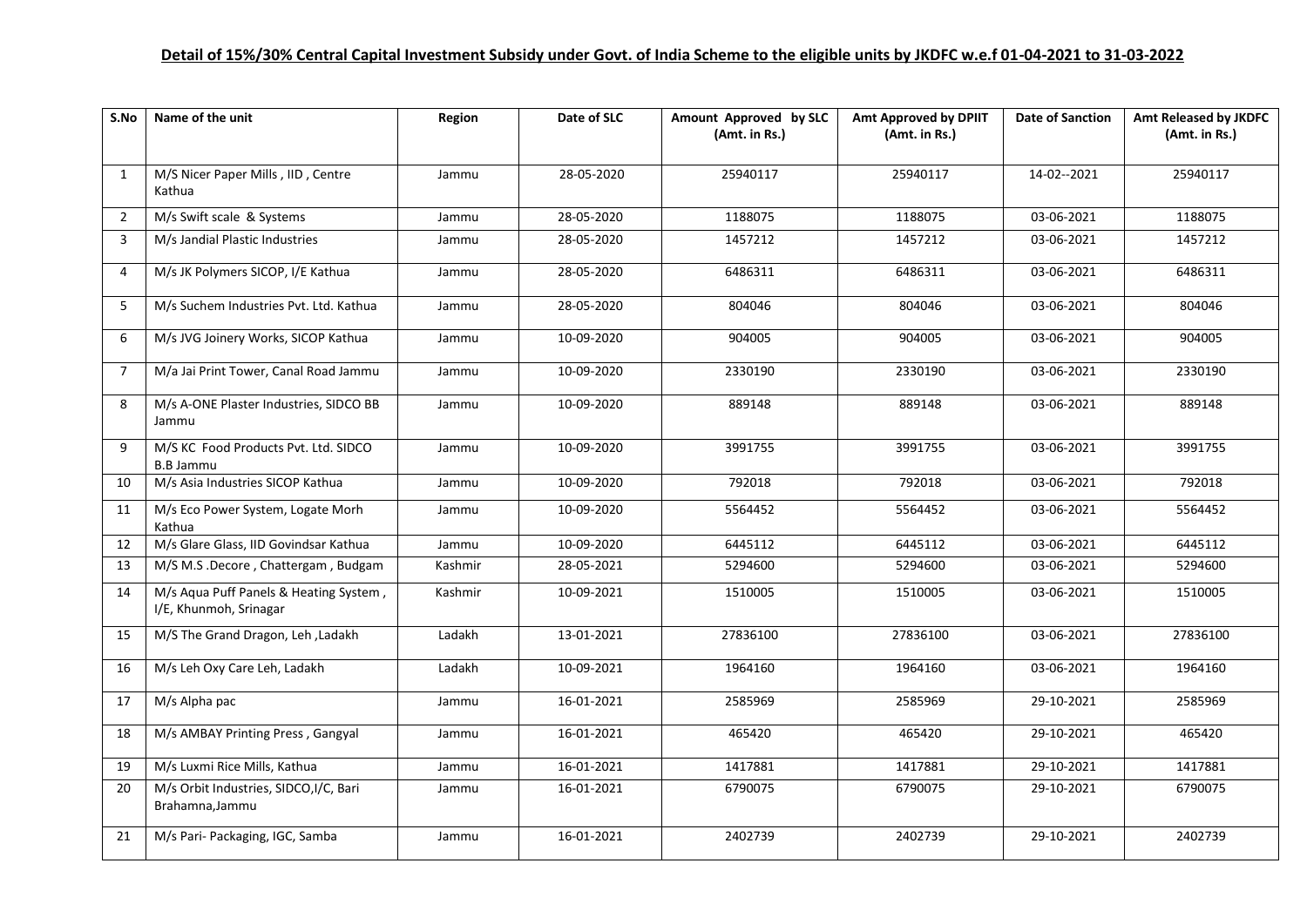## **Detail of 15%/30% Central Capital Investment Subsidy under Govt. of India Scheme to the eligible units by JKDFC w.e.f 01-04-2021 to 31-03-2022**

| S.No           | Name of the unit                                                 | Region  | Date of SLC | Amount Approved by SLC<br>(Amt. in Rs.) | <b>Amt Approved by DPIIT</b><br>(Amt. in Rs.) | <b>Date of Sanction</b> | Amt Released by JKDFC<br>(Amt. in Rs.) |
|----------------|------------------------------------------------------------------|---------|-------------|-----------------------------------------|-----------------------------------------------|-------------------------|----------------------------------------|
| 1              | M/S Nicer Paper Mills, IID, Centre<br>Kathua                     | Jammu   | 28-05-2020  | 25940117                                | 25940117                                      | 14-02--2021             | 25940117                               |
| $\overline{2}$ | M/s Swift scale & Systems                                        | Jammu   | 28-05-2020  | 1188075                                 | 1188075                                       | 03-06-2021              | 1188075                                |
| 3              | M/s Jandial Plastic Industries                                   | Jammu   | 28-05-2020  | 1457212                                 | 1457212                                       | 03-06-2021              | 1457212                                |
| 4              | M/s JK Polymers SICOP, I/E Kathua                                | Jammu   | 28-05-2020  | 6486311                                 | 6486311                                       | 03-06-2021              | 6486311                                |
| 5              | M/s Suchem Industries Pvt. Ltd. Kathua                           | Jammu   | 28-05-2020  | 804046                                  | 804046                                        | 03-06-2021              | 804046                                 |
| 6              | M/s JVG Joinery Works, SICOP Kathua                              | Jammu   | 10-09-2020  | 904005                                  | 904005                                        | 03-06-2021              | 904005                                 |
| $\overline{7}$ | M/a Jai Print Tower, Canal Road Jammu                            | Jammu   | 10-09-2020  | 2330190                                 | 2330190                                       | 03-06-2021              | 2330190                                |
| 8              | M/s A-ONE Plaster Industries, SIDCO BB<br>Jammu                  | Jammu   | 10-09-2020  | 889148                                  | 889148                                        | 03-06-2021              | 889148                                 |
| $\mathsf{q}$   | M/S KC Food Products Pvt. Ltd. SIDCO<br><b>B.B Jammu</b>         | Jammu   | 10-09-2020  | 3991755                                 | 3991755                                       | 03-06-2021              | 3991755                                |
| 10             | M/s Asia Industries SICOP Kathua                                 | Jammu   | 10-09-2020  | 792018                                  | 792018                                        | 03-06-2021              | 792018                                 |
| 11             | M/s Eco Power System, Logate Morh<br>Kathua                      | Jammu   | 10-09-2020  | 5564452                                 | 5564452                                       | 03-06-2021              | 5564452                                |
| 12             | M/s Glare Glass, IID Govindsar Kathua                            | Jammu   | 10-09-2020  | 6445112                                 | 6445112                                       | 03-06-2021              | 6445112                                |
| 13             | M/S M.S .Decore, Chattergam, Budgam                              | Kashmir | 28-05-2021  | 5294600                                 | 5294600                                       | 03-06-2021              | 5294600                                |
| 14             | M/s Aqua Puff Panels & Heating System,<br>I/E, Khunmoh, Srinagar | Kashmir | 10-09-2021  | 1510005                                 | 1510005                                       | 03-06-2021              | 1510005                                |
| 15             | M/S The Grand Dragon, Leh, Ladakh                                | Ladakh  | 13-01-2021  | 27836100                                | 27836100                                      | 03-06-2021              | 27836100                               |
| 16             | M/s Leh Oxy Care Leh, Ladakh                                     | Ladakh  | 10-09-2021  | 1964160                                 | 1964160                                       | 03-06-2021              | 1964160                                |
| 17             | M/s Alpha pac                                                    | Jammu   | 16-01-2021  | 2585969                                 | 2585969                                       | 29-10-2021              | 2585969                                |
| 18             | M/s AMBAY Printing Press, Gangyal                                | Jammu   | 16-01-2021  | 465420                                  | 465420                                        | 29-10-2021              | 465420                                 |
| 19             | M/s Luxmi Rice Mills, Kathua                                     | Jammu   | 16-01-2021  | 1417881                                 | 1417881                                       | 29-10-2021              | 1417881                                |
| 20             | M/s Orbit Industries, SIDCO, I/C, Bari<br>Brahamna, Jammu        | Jammu   | 16-01-2021  | 6790075                                 | 6790075                                       | 29-10-2021              | 6790075                                |
| 21             | M/s Pari- Packaging, IGC, Samba                                  | Jammu   | 16-01-2021  | 2402739                                 | 2402739                                       | 29-10-2021              | 2402739                                |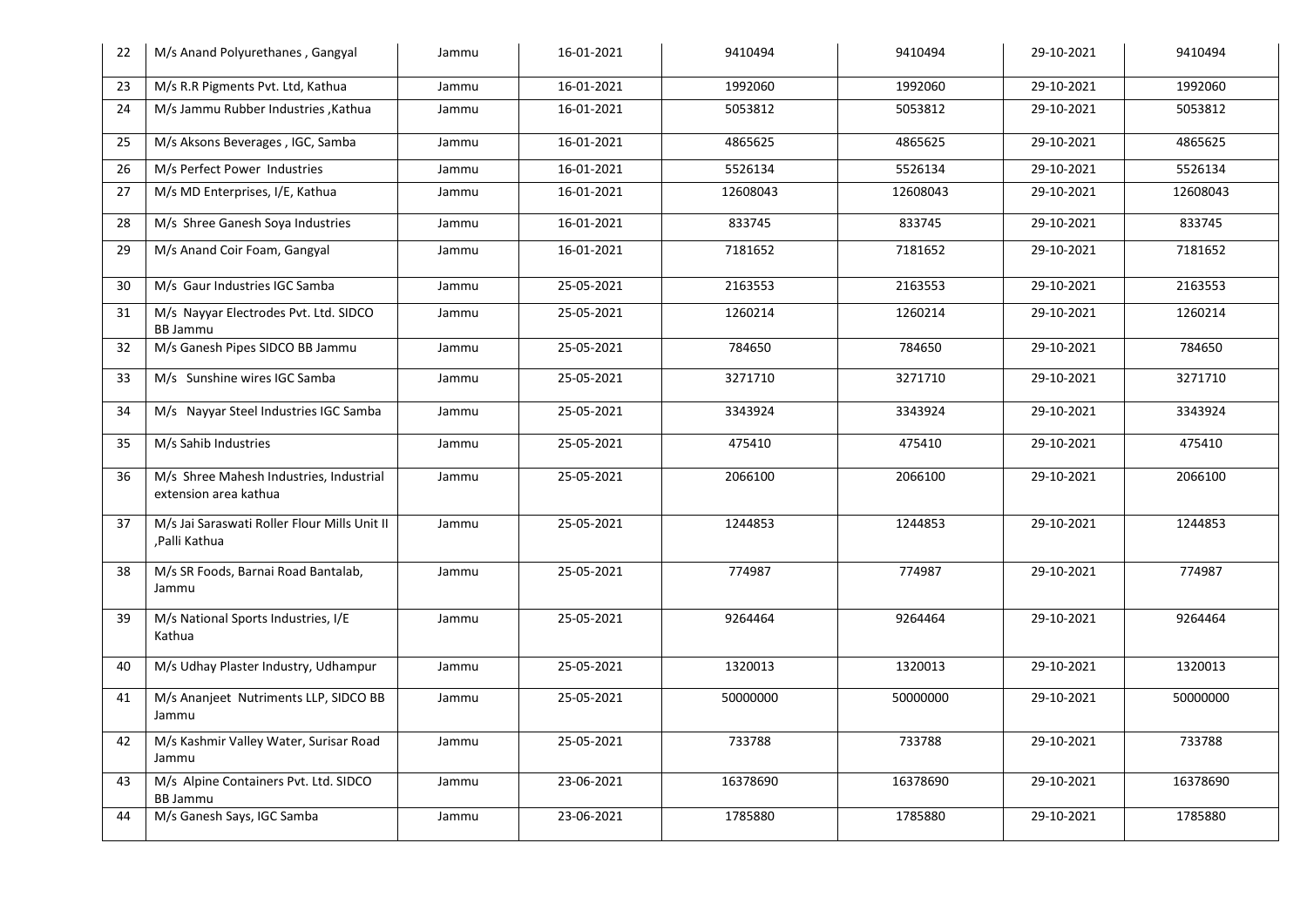| 22 | M/s Anand Polyurethanes, Gangyal                                 | Jammu | 16-01-2021 | 9410494  | 9410494  | 29-10-2021 | 9410494  |
|----|------------------------------------------------------------------|-------|------------|----------|----------|------------|----------|
| 23 | M/s R.R Pigments Pvt. Ltd, Kathua                                | Jammu | 16-01-2021 | 1992060  | 1992060  | 29-10-2021 | 1992060  |
| 24 | M/s Jammu Rubber Industries , Kathua                             | Jammu | 16-01-2021 | 5053812  | 5053812  | 29-10-2021 | 5053812  |
| 25 | M/s Aksons Beverages, IGC, Samba                                 | Jammu | 16-01-2021 | 4865625  | 4865625  | 29-10-2021 | 4865625  |
| 26 | M/s Perfect Power Industries                                     | Jammu | 16-01-2021 | 5526134  | 5526134  | 29-10-2021 | 5526134  |
| 27 | M/s MD Enterprises, I/E, Kathua                                  | Jammu | 16-01-2021 | 12608043 | 12608043 | 29-10-2021 | 12608043 |
| 28 | M/s Shree Ganesh Soya Industries                                 | Jammu | 16-01-2021 | 833745   | 833745   | 29-10-2021 | 833745   |
| 29 | M/s Anand Coir Foam, Gangyal                                     | Jammu | 16-01-2021 | 7181652  | 7181652  | 29-10-2021 | 7181652  |
| 30 | M/s Gaur Industries IGC Samba                                    | Jammu | 25-05-2021 | 2163553  | 2163553  | 29-10-2021 | 2163553  |
| 31 | M/s Nayyar Electrodes Pvt. Ltd. SIDCO<br><b>BB Jammu</b>         | Jammu | 25-05-2021 | 1260214  | 1260214  | 29-10-2021 | 1260214  |
| 32 | M/s Ganesh Pipes SIDCO BB Jammu                                  | Jammu | 25-05-2021 | 784650   | 784650   | 29-10-2021 | 784650   |
| 33 | M/s Sunshine wires IGC Samba                                     | Jammu | 25-05-2021 | 3271710  | 3271710  | 29-10-2021 | 3271710  |
| 34 | M/s Nayyar Steel Industries IGC Samba                            | Jammu | 25-05-2021 | 3343924  | 3343924  | 29-10-2021 | 3343924  |
| 35 | M/s Sahib Industries                                             | Jammu | 25-05-2021 | 475410   | 475410   | 29-10-2021 | 475410   |
| 36 | M/s Shree Mahesh Industries, Industrial<br>extension area kathua | Jammu | 25-05-2021 | 2066100  | 2066100  | 29-10-2021 | 2066100  |
| 37 | M/s Jai Saraswati Roller Flour Mills Unit II<br>,Palli Kathua    | Jammu | 25-05-2021 | 1244853  | 1244853  | 29-10-2021 | 1244853  |
| 38 | M/s SR Foods, Barnai Road Bantalab,<br>Jammu                     | Jammu | 25-05-2021 | 774987   | 774987   | 29-10-2021 | 774987   |
| 39 | M/s National Sports Industries, I/E<br>Kathua                    | Jammu | 25-05-2021 | 9264464  | 9264464  | 29-10-2021 | 9264464  |
| 40 | M/s Udhay Plaster Industry, Udhampur                             | Jammu | 25-05-2021 | 1320013  | 1320013  | 29-10-2021 | 1320013  |
| 41 | M/s Ananjeet Nutriments LLP, SIDCO BB<br>Jammu                   | Jammu | 25-05-2021 | 50000000 | 50000000 | 29-10-2021 | 50000000 |
| 42 | M/s Kashmir Valley Water, Surisar Road<br>Jammu                  | Jammu | 25-05-2021 | 733788   | 733788   | 29-10-2021 | 733788   |
| 43 | M/s Alpine Containers Pvt. Ltd. SIDCO<br><b>BB Jammu</b>         | Jammu | 23-06-2021 | 16378690 | 16378690 | 29-10-2021 | 16378690 |
| 44 | M/s Ganesh Says, IGC Samba                                       | Jammu | 23-06-2021 | 1785880  | 1785880  | 29-10-2021 | 1785880  |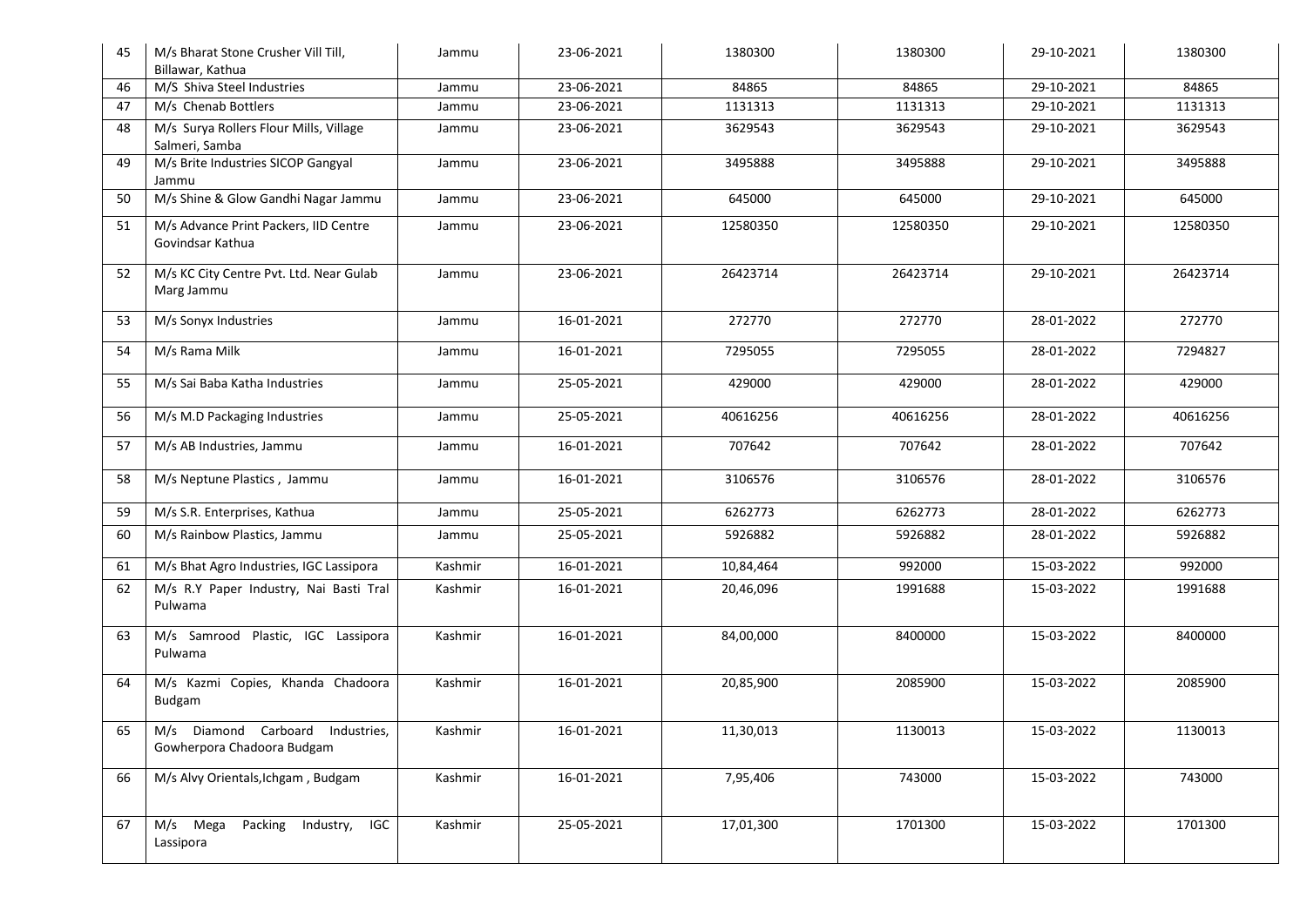| 45 | M/s Bharat Stone Crusher Vill Till,<br>Billawar, Kathua        | Jammu   | 23-06-2021 | 1380300   | 1380300  | 29-10-2021 | 1380300  |
|----|----------------------------------------------------------------|---------|------------|-----------|----------|------------|----------|
| 46 | M/S Shiva Steel Industries                                     | Jammu   | 23-06-2021 | 84865     | 84865    | 29-10-2021 | 84865    |
| 47 | M/s Chenab Bottlers                                            | Jammu   | 23-06-2021 | 1131313   | 1131313  | 29-10-2021 | 1131313  |
| 48 | M/s Surya Rollers Flour Mills, Village<br>Salmeri, Samba       | Jammu   | 23-06-2021 | 3629543   | 3629543  | 29-10-2021 | 3629543  |
| 49 | M/s Brite Industries SICOP Gangyal<br>Jammu                    | Jammu   | 23-06-2021 | 3495888   | 3495888  | 29-10-2021 | 3495888  |
| 50 | M/s Shine & Glow Gandhi Nagar Jammu                            | Jammu   | 23-06-2021 | 645000    | 645000   | 29-10-2021 | 645000   |
| 51 | M/s Advance Print Packers, IID Centre<br>Govindsar Kathua      | Jammu   | 23-06-2021 | 12580350  | 12580350 | 29-10-2021 | 12580350 |
| 52 | M/s KC City Centre Pvt. Ltd. Near Gulab<br>Marg Jammu          | Jammu   | 23-06-2021 | 26423714  | 26423714 | 29-10-2021 | 26423714 |
| 53 | M/s Sonyx Industries                                           | Jammu   | 16-01-2021 | 272770    | 272770   | 28-01-2022 | 272770   |
| 54 | M/s Rama Milk                                                  | Jammu   | 16-01-2021 | 7295055   | 7295055  | 28-01-2022 | 7294827  |
| 55 | M/s Sai Baba Katha Industries                                  | Jammu   | 25-05-2021 | 429000    | 429000   | 28-01-2022 | 429000   |
| 56 | M/s M.D Packaging Industries                                   | Jammu   | 25-05-2021 | 40616256  | 40616256 | 28-01-2022 | 40616256 |
| 57 | M/s AB Industries, Jammu                                       | Jammu   | 16-01-2021 | 707642    | 707642   | 28-01-2022 | 707642   |
| 58 | M/s Neptune Plastics, Jammu                                    | Jammu   | 16-01-2021 | 3106576   | 3106576  | 28-01-2022 | 3106576  |
| 59 | M/s S.R. Enterprises, Kathua                                   | Jammu   | 25-05-2021 | 6262773   | 6262773  | 28-01-2022 | 6262773  |
| 60 | M/s Rainbow Plastics, Jammu                                    | Jammu   | 25-05-2021 | 5926882   | 5926882  | 28-01-2022 | 5926882  |
| 61 | M/s Bhat Agro Industries, IGC Lassipora                        | Kashmir | 16-01-2021 | 10,84,464 | 992000   | 15-03-2022 | 992000   |
| 62 | M/s R.Y Paper Industry, Nai Basti Tral<br>Pulwama              | Kashmir | 16-01-2021 | 20,46,096 | 1991688  | 15-03-2022 | 1991688  |
| 63 | M/s Samrood Plastic, IGC Lassipora<br>Pulwama                  | Kashmir | 16-01-2021 | 84,00,000 | 8400000  | 15-03-2022 | 8400000  |
| 64 | M/s Kazmi Copies, Khanda Chadoora<br><b>Budgam</b>             | Kashmir | 16-01-2021 | 20,85,900 | 2085900  | 15-03-2022 | 2085900  |
| 65 | M/s Diamond Carboard Industries,<br>Gowherpora Chadoora Budgam | Kashmir | 16-01-2021 | 11,30,013 | 1130013  | 15-03-2022 | 1130013  |
| 66 | M/s Alvy Orientals, Ichgam, Budgam                             | Kashmir | 16-01-2021 | 7,95,406  | 743000   | 15-03-2022 | 743000   |
| 67 | M/s Mega<br>IGC<br>Packing<br>Industry,<br>Lassipora           | Kashmir | 25-05-2021 | 17,01,300 | 1701300  | 15-03-2022 | 1701300  |